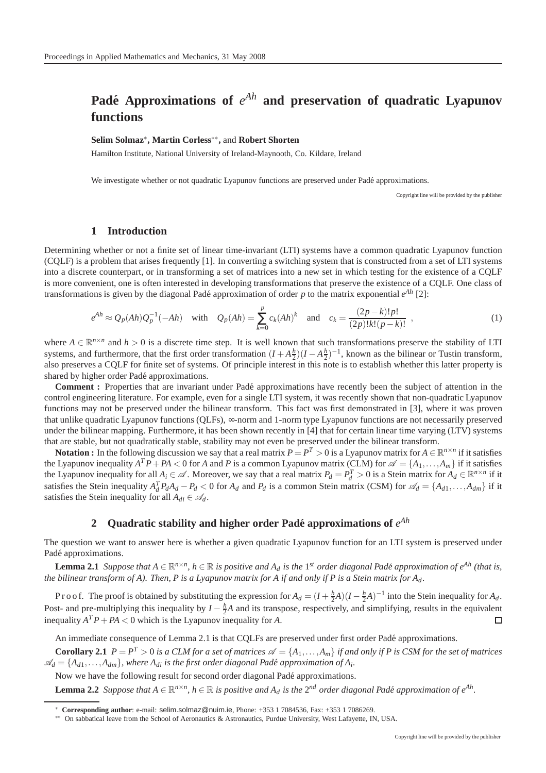# Padé Approximations of  $e^{Ah}$  and preservation of quadratic Lyapunov **functions**

### **Selim Solmaz**<sup>∗</sup> **, Martin Corless**∗∗ **,** and **Robert Shorten**

Hamilton Institute, National University of Ireland-Maynooth, Co. Kildare, Ireland

We investigate whether or not quadratic Lyapunov functions are preserved under Padé approximations.

Copyright line will be provided by the publisher

#### **1 Introduction**

Determining whether or not a finite set of linear time-invariant (LTI) systems have a common quadratic Lyapunov function (CQLF) is a problem that arises frequently [1]. In converting a switching system that is constructed from a set of LTI systems into a discrete counterpart, or in transforming a set of matrices into a new set in which testing for the existence of a CQLF is more convenient, one is often interested in developing transformations that preserve the existence of a CQLF. One class of transformations is given by the diagonal Padé approximation of order  $p$  to the matrix exponential  $e^{Ah}$  [2]:

$$
e^{Ah} \approx Q_p(Ah)Q_p^{-1}(-Ah) \quad \text{with} \quad Q_p(Ah) = \sum_{k=0}^p c_k(Ah)^k \quad \text{and} \quad c_k = \frac{(2p-k)!p!}{(2p)!k!(p-k)!} \tag{1}
$$

where  $A \in \mathbb{R}^{n \times n}$  and  $h > 0$  is a discrete time step. It is well known that such transformations preserve the stability of LTI systems, and furthermore, that the first order transformation  $(I + A\frac{h}{2})(I - A\frac{h}{2})^{-1}$ , known as the bilinear or Tustin transform, also preserves a CQLF for finite set of systems. Of principle interest in this note is to establish whether this latter property is shared by higher order Padé approximations.

**Comment :** Properties that are invariant under Padé approximations have recently been the subject of attention in the control engineering literature. For example, even for a single LTI system, it was recently shown that non-quadratic Lyapunov functions may not be preserved under the bilinear transform. This fact was first demonstrated in [3], where it was proven that unlike quadratic Lyapunov functions (QLFs), ∞-norm and 1-norm type Lyapunov functions are not necessarily preserved under the bilinear mapping. Furthermore, it has been shown recently in [4] that for certain linear time varying (LTV) systems that are stable, but not quadratically stable, stability may not even be preserved under the bilinear transform.

Notation : In the following discussion we say that a real matrix  $P = P^T > 0$  is a Lyapunov matrix for  $A \in \mathbb{R}^{n \times n}$  if it satisfies the Lyapunov inequality  $A^T P + PA < 0$  for *A* and *P* is a common Lyapunov matrix (CLM) for  $\mathscr{A} = \{A_1, \ldots, A_m\}$  if it satisfies the Lyapunov inequality for all  $A_i \in \mathcal{A}$ . Moreover, we say that a real matrix  $P_d = P_d^T > 0$  is a Stein matrix for  $A_d \in \mathbb{R}^{n \times n}$  if it satisfies the Stein inequality  $A_d^T P_d A_d - P_d < 0$  for  $A_d$  and  $P_d$  is a common Stein matrix (CSM) for  $\mathscr{A}_d = \{A_{d1}, \dots, A_{dm}\}$  if it satisfies the Stein inequality for all  $A_{di} \in \mathcal{A}_d$ .

## **2** Quadratic stability and higher order Padé approximations of  $e^{Ah}$

The question we want to answer here is whether a given quadratic Lyapunov function for an LTI system is preserved under Padé approximations.

**Lemma 2.1** *Suppose that*  $A \in \mathbb{R}^{n \times n}$ ,  $h \in \mathbb{R}$  is positive and  $A_d$  is the 1<sup>st</sup> order diagonal Padé approximation of  $e^{Ah}$  (that is, *the bilinear transform of A). Then, P is a Lyapunov matrix for A if and only if P is a Stein matrix for Ad.*

P r o o f. The proof is obtained by substituting the expression for  $A_d = (I + \frac{h}{2}A)(I - \frac{h}{2}A)^{-1}$  into the Stein inequality for  $A_d$ . Post- and pre-multiplying this inequality by  $I - \frac{h}{2}A$  and its transpose, respectively, and simplifying, results in the equivalent inequality  $A^T P + P A < 0$  which is the Lyapunov inequality for *A*.  $\Box$ 

An immediate consequence of Lemma 2.1 is that CQLFs are preserved under first order Padé approximations.

**Corollary 2.1**  $P = P^T > 0$  is a CLM for a set of matrices  $\mathscr{A} = \{A_1, \ldots, A_m\}$  if and only if P is CSM for the set of matrices  $\mathscr{A}_d = \{A_{d1}, \ldots, A_{dm}\}$ , where  $A_{di}$  is the first order diagonal Padé approximation of  $A_i$ .

Now we have the following result for second order diagonal Padé approximations.

**Lemma 2.2** Suppose that  $A \in \mathbb{R}^{n \times n}$ ,  $h \in \mathbb{R}$  is positive and  $A_d$  is the 2<sup>nd</sup> order diagonal Padé approximation of  $e^{Ah}$ .

<sup>∗</sup> **Corresponding author**: e-mail: selim.solmaz@nuim.ie, Phone: +353 1 7084536, Fax: +353 1 7086269.

<sup>∗∗</sup> On sabbatical leave from the School of Aeronautics & Astronautics, Purdue University, West Lafayette, IN, USA.